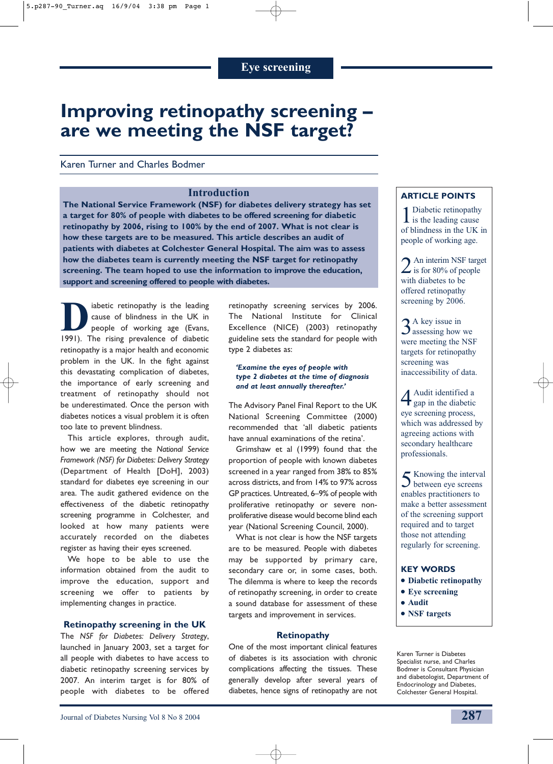# **Improving retinopathy screening – are we meeting the NSF target?**

Karen Turner and Charles Bodmer

## **Introduction**

**The National Service Framework (NSF) for diabetes delivery strategy has set a target for 80% of people with diabetes to be offered screening for diabetic retinopathy by 2006, rising to 100% by the end of 2007. What is not clear is how these targets are to be measured. This article describes an audit of patients with diabetes at Colchester General Hospital. The aim was to assess how the diabetes team is currently meeting the NSF target for retinopathy screening. The team hoped to use the information to improve the education, support and screening offered to people with diabetes.**

iabetic retinopathy is the leading cause of blindness in the UK in people of working age (Evans, 1991). The rising prevalence of diabetic retinopathy is a major health and economic problem in the UK. In the fight against this devastating complication of diabetes, the importance of early screening and treatment of retinopathy should not be underestimated. Once the person with diabetes notices a visual problem it is often too late to prevent blindness.

This article explores, through audit, how we are meeting the *National Service Framework (NSF) for Diabetes: Delivery Strategy* (Department of Health [DoH], 2003) standard for diabetes eye screening in our area. The audit gathered evidence on the effectiveness of the diabetic retinopathy screening programme in Colchester, and looked at how many patients were accurately recorded on the diabetes register as having their eyes screened.

We hope to be able to use the information obtained from the audit to improve the education, support and screening we offer to patients by implementing changes in practice.

#### **Retinopathy screening in the UK**

The *NSF for Diabetes: Delivery Strategy*, launched in January 2003, set a target for all people with diabetes to have access to diabetic retinopathy screening services by 2007. An interim target is for 80% of people with diabetes to be offered

retinopathy screening services by 2006. The National Institute for Clinical Excellence (NICE) (2003) retinopathy guideline sets the standard for people with type 2 diabetes as:

#### *'Examine the eyes of people with type 2 diabetes at the time of diagnosis and at least annually thereafter.'*

The Advisory Panel Final Report to the UK National Screening Committee (2000) recommended that 'all diabetic patients have annual examinations of the retina'.

Grimshaw et al (1999) found that the proportion of people with known diabetes screened in a year ranged from 38% to 85% across districts, and from 14% to 97% across GP practices. Untreated, 6–9% of people with proliferative retinopathy or severe nonproliferative disease would become blind each year (National Screening Council, 2000).

What is not clear is how the NSF targets are to be measured. People with diabetes may be supported by primary care, secondary care or, in some cases, both. The dilemma is where to keep the records of retinopathy screening, in order to create a sound database for assessment of these targets and improvement in services.

#### **Retinopathy**

One of the most important clinical features of diabetes is its association with chronic complications affecting the tissues. These generally develop after several years of diabetes, hence signs of retinopathy are not

## **ARTICLE POINTS**

1 Diabetic retinopathy<br>is the leading cause of blindness in the UK in people of working age.

2 An interim NSF target<br>is for 80% of people with diabetes to be offered retinopathy screening by 2006.

3A key issue in assessing how we were meeting the NSF targets for retinopathy screening was inaccessibility of data.

4Audit identified a gap in the diabetic eye screening process, which was addressed by agreeing actions with secondary healthcare professionals.

5Knowing the interval between eye screens enables practitioners to make a better assessment of the screening support required and to target those not attending regularly for screening.

#### **KEY WORDS**

- **Diabetic retinopathy**
- **Eye screening**
- **Audit**
- **NSF targets**

Karen Turner is Diabetes Specialist nurse, and Charles Bodmer is Consultant Physician and diabetologist, Department of Endocrinology and Diabetes, Colchester General Hospital.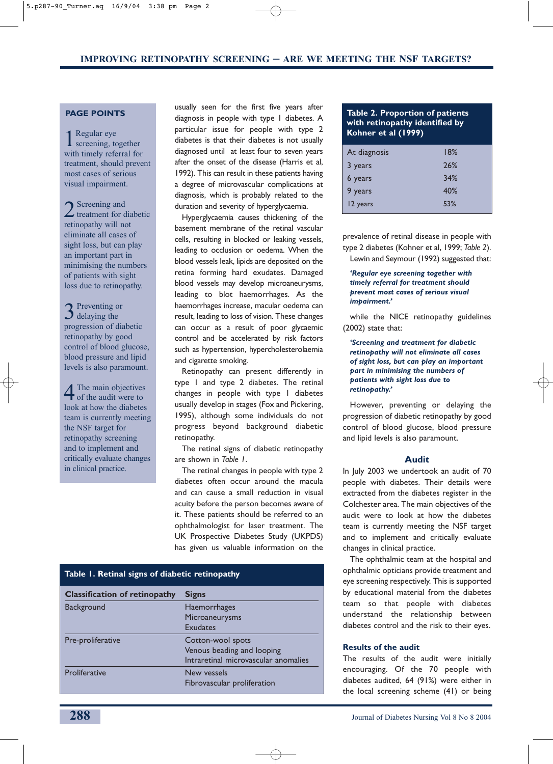## **PAGE POINTS**

1Regular eye screening, together with timely referral for treatment, should prevent most cases of serious visual impairment.

2 Screening and<br>treatment for diabetic retinopathy will not eliminate all cases of sight loss, but can play an important part in minimising the numbers of patients with sight loss due to retinopathy.

3<sup>Preventing or</sup> delaying the progression of diabetic retinopathy by good control of blood glucose, blood pressure and lipid levels is also paramount.

4The main objectives of the audit were to look at how the diabetes team is currently meeting the NSF target for retinopathy screening and to implement and critically evaluate changes in clinical practice.

usually seen for the first five years after diagnosis in people with type 1 diabetes. A particular issue for people with type 2 diabetes is that their diabetes is not usually diagnosed until at least four to seven years after the onset of the disease (Harris et al, 1992). This can result in these patients having a degree of microvascular complications at diagnosis, which is probably related to the duration and severity of hyperglycaemia.

Hyperglycaemia causes thickening of the basement membrane of the retinal vascular cells, resulting in blocked or leaking vessels, leading to occlusion or oedema. When the blood vessels leak, lipids are deposited on the retina forming hard exudates. Damaged blood vessels may develop microaneurysms, leading to blot haemorrhages. As the haemorrhages increase, macular oedema can result, leading to loss of vision. These changes can occur as a result of poor glycaemic control and be accelerated by risk factors such as hypertension, hypercholesterolaemia and cigarette smoking.

Retinopathy can present differently in type 1 and type 2 diabetes. The retinal changes in people with type 1 diabetes usually develop in stages (Fox and Pickering, 1995), although some individuals do not progress beyond background diabetic retinopathy.

The retinal signs of diabetic retinopathy are shown in *Table 1*.

The retinal changes in people with type 2 diabetes often occur around the macula and can cause a small reduction in visual acuity before the person becomes aware of it. These patients should be referred to an ophthalmologist for laser treatment. The UK Prospective Diabetes Study (UKPDS) has given us valuable information on the

| Table 1. Retinal signs of diabetic retinopathy |                                      |
|------------------------------------------------|--------------------------------------|
| <b>Classification of retinopathy</b>           | <b>Signs</b>                         |
| <b>Background</b>                              | <b>Haemorrhages</b>                  |
|                                                | Microaneurysms                       |
|                                                | <b>Exudates</b>                      |
| Pre-proliferative                              | Cotton-wool spots                    |
|                                                | Venous beading and looping           |
|                                                | Intraretinal microvascular anomalies |
| Proliferative                                  | New vessels                          |
|                                                | Fibrovascular proliferation          |

## **Table 2. Proportion of patients with retinopathy identified by Kohner et al (1999)**

| At diagnosis | 18% |
|--------------|-----|
| 3 years      | 26% |
| 6 years      | 34% |
| 9 years      | 40% |
| 12 years     | 53% |

prevalence of retinal disease in people with type 2 diabetes (Kohner et al, 1999; *Table 2*). Lewin and Seymour (1992) suggested that:

*'Regular eye screening together with timely referral for treatment should prevent most cases of serious visual impairment.'* 

while the NICE retinopathy guidelines (2002) state that:

*'Screening and treatment for diabetic retinopathy will not eliminate all cases of sight loss, but can play an important part in minimising the numbers of patients with sight loss due to retinopathy.'*

However, preventing or delaying the progression of diabetic retinopathy by good control of blood glucose, blood pressure and lipid levels is also paramount.

#### **Audit**

In July 2003 we undertook an audit of 70 people with diabetes. Their details were extracted from the diabetes register in the Colchester area. The main objectives of the audit were to look at how the diabetes team is currently meeting the NSF target and to implement and critically evaluate changes in clinical practice.

The ophthalmic team at the hospital and ophthalmic opticians provide treatment and eye screening respectively. This is supported by educational material from the diabetes team so that people with diabetes understand the relationship between diabetes control and the risk to their eyes.

#### **Results of the audit**

The results of the audit were initially encouraging. Of the 70 people with diabetes audited, 64 (91%) were either in the local screening scheme (41) or being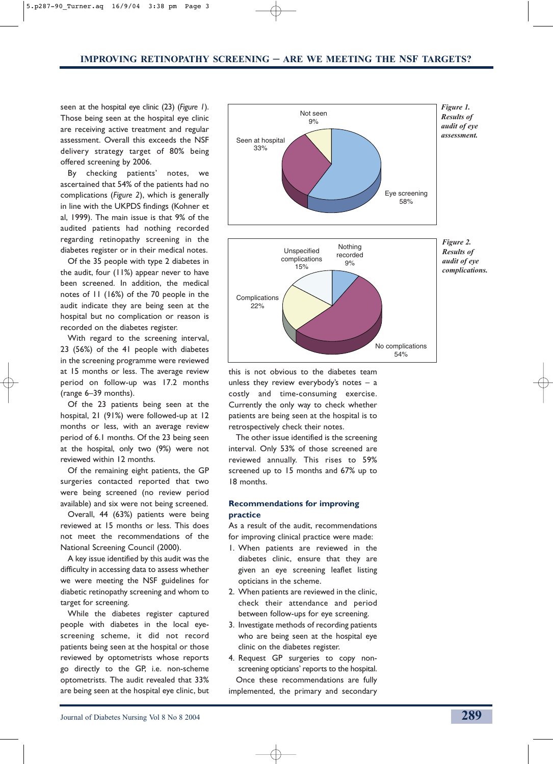seen at the hospital eye clinic (23) (*Figure 1*). Those being seen at the hospital eye clinic are receiving active treatment and regular assessment. Overall this exceeds the NSF delivery strategy target of 80% being offered screening by 2006.

By checking patients' notes, we ascertained that 54% of the patients had no complications (*Figure 2*), which is generally in line with the UKPDS findings (Kohner et al, 1999). The main issue is that 9% of the audited patients had nothing recorded regarding retinopathy screening in the diabetes register or in their medical notes.

Of the 35 people with type 2 diabetes in the audit, four (11%) appear never to have been screened. In addition, the medical notes of 11 (16%) of the 70 people in the audit indicate they are being seen at the hospital but no complication or reason is recorded on the diabetes register.

With regard to the screening interval, 23 (56%) of the 41 people with diabetes in the screening programme were reviewed at 15 months or less. The average review period on follow-up was 17.2 months (range 6–39 months).

Of the 23 patients being seen at the hospital, 21 (91%) were followed-up at 12 months or less, with an average review period of 6.1 months. Of the 23 being seen at the hospital, only two (9%) were not reviewed within 12 months.

Of the remaining eight patients, the GP surgeries contacted reported that two were being screened (no review period available) and six were not being screened.

Overall, 44 (63%) patients were being reviewed at 15 months or less. This does not meet the recommendations of the National Screening Council (2000).

A key issue identified by this audit was the difficulty in accessing data to assess whether we were meeting the NSF guidelines for diabetic retinopathy screening and whom to target for screening.

While the diabetes register captured people with diabetes in the local eyescreening scheme, it did not record patients being seen at the hospital or those reviewed by optometrists whose reports go directly to the GP, i.e. non-scheme optometrists. The audit revealed that 33% are being seen at the hospital eye clinic, but



this is not obvious to the diabetes team unless they review everybody's notes  $-$  a costly and time-consuming exercise. Currently the only way to check whether patients are being seen at the hospital is to retrospectively check their notes.

The other issue identified is the screening interval. Only 53% of those screened are reviewed annually. This rises to 59% screened up to 15 months and 67% up to 18 months.

## **Recommendations for improving practice**

As a result of the audit, recommendations for improving clinical practice were made:

- 1. When patients are reviewed in the diabetes clinic, ensure that they are given an eye screening leaflet listing opticians in the scheme.
- 2. When patients are reviewed in the clinic, check their attendance and period between follow-ups for eye screening.
- 3. Investigate methods of recording patients who are being seen at the hospital eye clinic on the diabetes register.
- 4. Request GP surgeries to copy nonscreening opticians' reports to the hospital. Once these recommendations are fully implemented, the primary and secondary